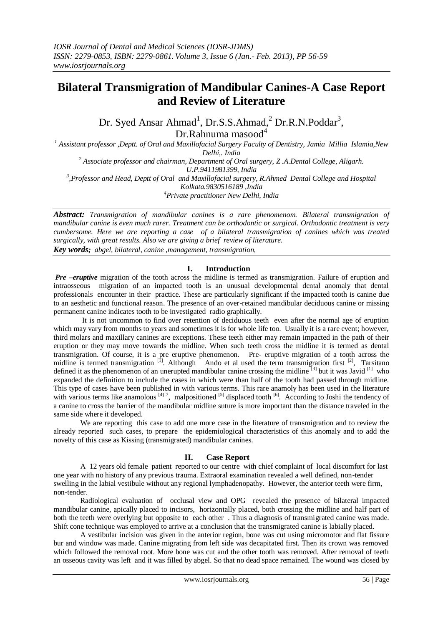# **Bilateral Transmigration of Mandibular Canines-A Case Report and Review of Literature**

Dr. Syed Ansar Ahmad<sup>1</sup>, Dr.S.S.Ahmad,<sup>2</sup> Dr.R.N.Poddar<sup>3</sup>,  $Dr.R$ ahnuma masood $4$ 

*<sup>1</sup> Assistant professor ,Deptt. of Oral and Maxillofacial Surgery Faculty of Dentistry, Jamia Millia Islamia,New Delhi,. India <sup>2</sup> Associate professor and chairman, Department of Oral surgery, Z .A.Dental College, Aligarh. U.P.9411981399, India* <sup>3</sup>,Professor and Head, Deptt of Oral and Maxillofacial surgery, R.Ahmed Dental College and Hospital

*Kolkata.9830516189 ,India*

*<sup>4</sup>Private practitioner New Delhi, India*

*Abstract: Transmigration of mandibular canines is a rare phenomenom. Bilateral transmigration of mandibular canine is even much rarer. Treatment can be orthodontic or surgical. Orthodontic treatment is very cumbersome. Here we are reporting a case of a bilateral transmigration of canines which was treated surgically, with great results. Also we are giving a brief review of literature.*

*Key words; abgel, bilateral, canine ,management, transmigration,*

## **I. Introduction**

*Pre –eruptive* migration of the tooth across the midline is termed as transmigration. Failure of eruption and intraosseous migration of an impacted tooth is an unusual developmental dental anomaly that dental professionals encounter in their practice. These are particularly significant if the impacted tooth is canine due to an aesthetic and functional reason. The presence of an over-retained mandibular deciduous canine or missing permanent canine indicates tooth to be investigated radio graphically.

It is not uncommon to find over retention of deciduous teeth even after the normal age of eruption which may vary from months to years and sometimes it is for whole life too. Usually it is a rare event; however, third molars and maxillary canines are exceptions. These teeth either may remain impacted in the path of their eruption or they may move towards the midline. When such teeth cross the midline it is termed as dental transmigration. Of course, it is a pre eruptive phenomenon. Pre- eruptive migration of a tooth across the midline is termed transmigration  $[1]$ . Although Ando et al used the term transmigration first  $[2]$ , Tarsitano defined it as the phenomenon of an unerupted mandibular canine crossing the midline  $\frac{3}{3}$  but it was Javid  $\frac{1}{3}$  who expanded the definition to include the cases in which were than half of the tooth had passed through midline. This type of cases have been published in with various terms. This rare anamoly has been used in the literature with various terms like anamolous  $[4]$ <sup>7</sup>, malpositioned  $[5]$  displaced tooth  $[6]$ . According to Joshi the tendency of a canine to cross the barrier of the mandibular midline suture is more important than the distance traveled in the same side where it developed.

We are reporting this case to add one more case in the literature of transmigration and to review the already reported such cases, to prepare the epidemiological characteristics of this anomaly and to add the novelty of this case as Kissing (transmigrated) mandibular canines.

#### **II. Case Report**

A 12 years old female patient reported to our centre with chief complaint of local discomfort for last one year with no history of any previous trauma. Extraoral examination revealed a well defined, non-tender swelling in the labial vestibule without any regional lymphadenopathy. However, the anterior teeth were firm, non-tender.

Radiological evaluation of occlusal view and OPG revealed the presence of bilateral impacted mandibular canine, apically placed to incisors, horizontally placed, both crossing the midline and half part of both the teeth were overlying but opposite to each other. Thus a diagnosis of transmigrated canine was made. Shift cone technique was employed to arrive at a conclusion that the transmigrated canine is labially placed.

A vestibular incision was given in the anterior region, bone was cut using micromotor and flat fissure bur and window was made. Canine migrating from left side was decapitated first. Then its crown was removed which followed the removal root. More bone was cut and the other tooth was removed. After removal of teeth an osseous cavity was left and it was filled by abgel. So that no dead space remained. The wound was closed by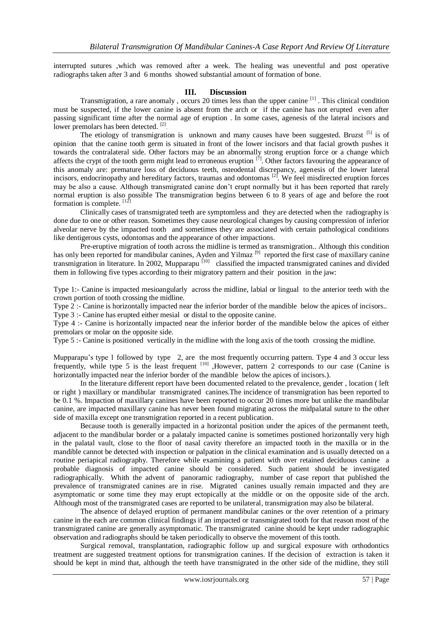interrupted sutures ,which was removed after a week. The healing was uneventful and post operative radiographs taken after 3 and 6 months showed substantial amount of formation of bone.

### **III. Discussion**

Transmigration, a rare anomaly, occurs 20 times less than the upper canine <sup>[1]</sup>. This clinical condition must be suspected, if the lower canine is absent from the arch or if the canine has not erupted even after passing significant time after the normal age of eruption . In some cases, agenesis of the lateral incisors and lower premolars has been detected.<sup>[2]</sup>.

The etiology of transmigration is unknown and many causes have been suggested. Bruzst  $[5]$  is of opinion that the canine tooth germ is situated in front of the lower incisors and that facial growth pushes it towards the contralateral side. Other factors may be an abnormally strong eruption force or a change which affects the crypt of the tooth germ might lead to erroneous eruption  $[7]$ . Other factors favouring the appearance of this anomaly are: premature loss of deciduous teeth, osteodental discrepancy, agenesis of the lower lateral incisors, endocrinopathy and hereditary factors, traumas and odontomas <sup>[2]</sup>. We feel misdirected eruption forces may be also a cause. Although transmigrated canine don't erupt normally but it has been reported that rarely normal eruption is also possible The transmigration begins between 6 to 8 years of age and before the root formation is complete. [12]

Clinically cases of transmigrated teeth are symptomless and they are detected when the radiography is done due to one or other reason. Sometimes they cause neurological changes by causing compression of inferior alveolar nerve by the impacted tooth and sometimes they are associated with certain pathological conditions like dentigerous cysts, odontomas and the appearance of other impactions.

Pre-eruptive migration of tooth across the midline is termed as transmigration.. Although this condition has only been reported for mandibular canines, Ayden and Yilmaz<sup>[9]</sup> reported the first case of maxillary canine transmigration in literature. In 2002, Mupparapu<sup>[10]</sup> classified the impacted transmigrated canines and divided them in following five types according to their migratory pattern and their position in the jaw:

Type 1:- Canine is impacted mesioangularly across the midline, labial or lingual to the anterior teeth with the crown portion of tooth crossing the midline.

Type 2 :- Canine is horizontally impacted near the inferior border of the mandible below the apices of incisors..

Type 3 :- Canine has erupted either mesial or distal to the opposite canine.

Type 4 :- Canine is horizontally impacted near the inferior border of the mandible below the apices of either premolars or molar on the opposite side.

Type 5 :- Canine is positioned vertically in the midline with the long axis of the tooth crossing the midline.

Mupparapu's type 1 followed by type 2, are the most frequently occurring pattern. Type 4 and 3 occur less frequently, while type 5 is the least frequent [10] , However, pattern 2 corresponds to our case (Canine is horizontally impacted near the inferior border of the mandible below the apices of incisors.).

In the literature different report have been documented related to the prevalence, gender , location ( left or right ) maxillary or mandibular transmigrated canines.The incidence of transmigration has been reported to be 0.1 %. Impaction of maxillary canines have been reported to occur 20 times more but unlike the mandibular canine, are impacted maxillary canine has never been found migrating across the midpalatal suture to the other side of maxilla except one transmigration reported in a recent publication.

Because tooth is generally impacted in a horizontal position under the apices of the permanent teeth, adjacent to the mandibular border or a palataly impacted canine is sometimes postioned horizontally very high in the palatal vault, close to the floor of nasal cavity therefore an impacted tooth in the maxilla or in the mandible cannot be detected with inspection or palpation in the clinical examination and is usually detected on a routine periapical radiography. Therefore while examining a patient with over retained deciduous canine a probable diagnosis of impacted canine should be considered. Such patient should be investigated radiographically. Whith the advent of panoramic radiography, number of case report that published the prevalence of transmigrated canines are in rise. Migrated canines usually remain impacted and they are asymptomatic or some time they may erupt ectopically at the middle or on the opposite side of the arch. Although most of the transmigrated cases are reported to be unilateral, transmigration may also be bilateral.

The absence of delayed eruption of permanent mandibular canines or the over retention of a primary canine in the each are common clinical findings if an impacted or transmigrated tooth for that reason most of the transmigrated canine are generally asymptomatic. The transmigrated canine should be kept under radiographic observation and radiographs should be taken periodically to observe the movement of this tooth.

Surgical removal, transplantation, radiographic follow up and surgical exposure with orthodontics treatment are suggested treatment options for transmigration canines. If the decision of extraction is taken it should be kept in mind that, although the teeth have transmigrated in the other side of the midline, they still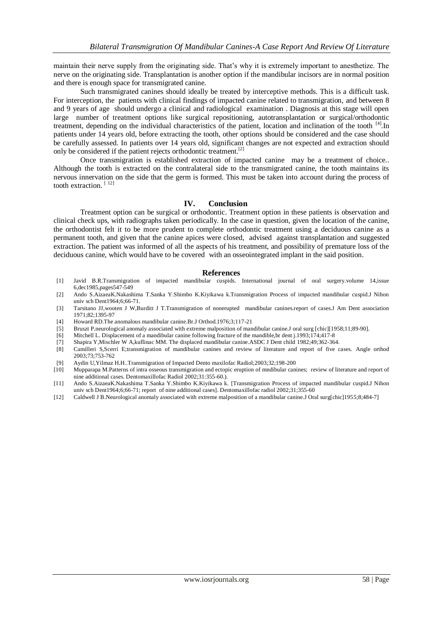maintain their nerve supply from the originating side. That's why it is extremely important to anesthetize. The nerve on the originating side. Transplantation is another option if the mandibular incisors are in normal position and there is enough space for transmigrated canine.

Such transmigrated canines should ideally be treated by interceptive methods. This is a difficult task. For interception, the patients with clinical findings of impacted canine related to transmigration, and between 8 and 9 years of age should undergo a clinical and radiological examination . Diagnosis at this stage will open large number of treatment options like surgical repositioning, autotransplantation or surgical/orthodontic treatment, depending on the individual characteristics of the patient, location and inclination of the tooth <sup>[4]</sup>. In patients under 14 years old, before extracting the tooth, other options should be considered and the case should be carefully assessed. In patients over 14 years old, significant changes are not expected and extraction should only be considered if the patient rejects orthodontic treatment.<sup>[2]</sup>

Once transmigration is established extraction of impacted canine may be a treatment of choice.. Although the tooth is extracted on the contralateral side to the transmigrated canine, the tooth maintains its nervous innervation on the side that the germ is formed. This must be taken into account during the process of tooth extraction.<sup>[12]</sup>

# **IV. Conclusion**

Treatment option can be surgical or orthodontic. Treatment option in these patients is observation and clinical check ups, with radiographs taken periodically. In the case in question, given the location of the canine, the orthodontist felt it to be more prudent to complete orthodontic treatment using a deciduous canine as a permanent tooth, and given that the canine apices were closed, advised against transplantation and suggested extraction. The patient was informed of all the aspects of his treatment, and possibility of premature loss of the deciduous canine, which would have to be covered with an osseointegrated implant in the said position.

#### **References**

- [1] Javid B.R.Transmigration of impacted mandibular cuspids. International journal of oral surgery.volume 14,issue 6,dec1985,pages547-549
- [2] Ando S.AizaeaK.Nakashima T.Sanka Y.Shimbo K.Kiyikawa k.Transmigration Process of impacted mandibular cuspid.J Nihon univ sch Dent1964;6;66-71.
- [3] Tarsitano JJ,wooten J W,Burditt J T.Transmigration of nonerupted mandibular canines.report of cases.J Am Dent association 1971;82;1395-97
- [4] Howard RD.The anomalous mandibular canine.Br.J Orthod.1976;3;117-21
- [5] Bruszt P.neurological anomaly associated with extreme malposition of mandibular canine.J oral surg [chic][1958;11;89-90].
- [6] Mitchell L. Displacement of a mandibular canine following fracture of the mandible,br dent j.1993;174;417-8
- [7] Shapira Y,Mischler W A,kuflinac MM. The displaced mandibular canine.ASDC J Dent child 1982;49;362-364.
- [8] Camilleri S,Scerri E;transmigration of mandibular canines and review of literature and report of five cases. Angle orthod 2003;73;753-762
- [9] Aydin U,Yilmaz H.H..Transmigration of Impacted Dento maxilofac Radiol;2003;32;198-200
- [10] Mupparapa M.Patterns of intra osseous transmigration and ectopic eruption of mndibular canines; review of literature and report of nine additional cases. Dentomaxillofac Radiol 2002;31:355-60.).
- [11] Ando S.AizaeaK.Nakashima T.Sanka Y.Shimbo K.Kiyikawa k. [Transmigration Process of impacted mandibular cuspid.J Nihon univ sch Dent1964;6;66-71; report of nine additional cases]. Dentomaxillofac radiol 2002;31;355-60
- [12] Caldwell J B.Neurological anomaly associated with extreme malposition of a mandibular canine.J Oral surg[chic]1955;8;484-7]